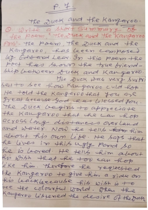$P.7$ 

the Quek and the Kangaroo. O. Write a short Symmary of the poem," the suck and the Kangaroo Mrs'- the poem, the Duck and the Kangaroo, has been composed let Edioard Lear. In this Moem the poet has bhown the true briend-Shep between Juck and Kangaroo. The Duck was nery burps! seato bee how Kangaroo culd hop. He told the Kangeroo that for are great because you kas biessed for. The Duck begins to appreciate the Kangaroo that the can hop across long distances over land and water. Now he tells firm film about his own libe. He bags that he lives in this ugly pond so he is bored. He tells him about Rio with that he too can hop leke him. therefore he requised the Kangaroo to give him a side on Rio Leackbeecause Rib with is to see the colourbul world. Then the Kangeroo libtered the desire of the fuck